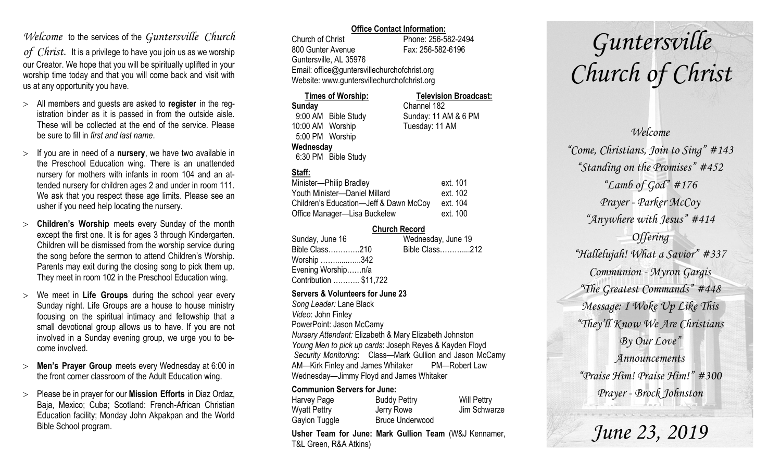### *Welcome* to the services of the *Guntersville Church*

*of Christ*. It is a privilege to have you join us as we worship our Creator. We hope that you will be spiritually uplifted in your worship time today and that you will come back and visit with us at any opportunity you have.

- All members and guests are asked to **register** in the registration binder as it is passed in from the outside aisle. These will be collected at the end of the service. Please be sure to fill in *first and last name*.
- $>$  If you are in need of a **nursery**, we have two available in the Preschool Education wing. There is an unattended nursery for mothers with infants in room 104 and an attended nursery for children ages 2 and under in room 111. We ask that you respect these age limits. Please see an usher if you need help locating the nursery.
- **Children's Worship** meets every Sunday of the month except the first one. It is for ages 3 through Kindergarten. Children will be dismissed from the worship service during the song before the sermon to attend Children's Worship. Parents may exit during the closing song to pick them up. They meet in room 102 in the Preschool Education wing.
- We meet in **Life Groups** during the school year every Sunday night. Life Groups are a house to house ministry focusing on the spiritual intimacy and fellowship that a small devotional group allows us to have. If you are not involved in a Sunday evening group, we urge you to become involved.
- **Men's Prayer Group** meets every Wednesday at 6:00 in the front corner classroom of the Adult Education wing.
- Please be in prayer for our **Mission Efforts** in Diaz Ordaz, Baja, Mexico; Cuba; Scotland: French-African Christian Education facility; Monday John Akpakpan and the World Bible School program.

### **Office Contact Information:**

Church of Christ Phone: 256-582-2494 800 Gunter Avenue Fax: 256-582-6196 Guntersville, AL 35976 Email: office@guntersvillechurchofchrist.org Website: www.guntersvillechurchofchrist.org

| <b>Times of Worship:</b> |                     | <b>Television Broadcast:</b> |  |
|--------------------------|---------------------|------------------------------|--|
| Sunday                   |                     | Channel 182                  |  |
|                          | 9:00 AM Bible Study | Sunday: 11 AM & 6 PM         |  |
| 10:00 AM Worship         |                     | Tuesday: 11 AM               |  |
| 5:00 PM Worship          |                     |                              |  |
| Wednesday                |                     |                              |  |
|                          | 6:30 PM Bible Study |                              |  |

### **Staff:**

| Minister-Philip Bradley                | ext. 101 |
|----------------------------------------|----------|
| Youth Minister-Daniel Millard          | ext. 102 |
| Children's Education-Jeff & Dawn McCoy | ext. 104 |
| Office Manager-Lisa Buckelew           | ext. 100 |

### **Church Record**

| Sunday, June 16        |  | Wednesday, June 19 |  |
|------------------------|--|--------------------|--|
| Bible Class210         |  | Bible Class212     |  |
| Worship 342            |  |                    |  |
| Evening Worshipn/a     |  |                    |  |
| Contribution  \$11,722 |  |                    |  |
|                        |  |                    |  |

#### **Servers & Volunteers for June 23**

*Song Leader:* Lane Black *Video*: John Finley PowerPoint: Jason McCamy *Nursery Attendant:* Elizabeth & Mary Elizabeth Johnston *Young Men to pick up cards*: Joseph Reyes & Kayden Floyd *Security Monitoring*: Class—Mark Gullion and Jason McCamy AM—Kirk Finley and James Whitaker PM—Robert Law Wednesday—Jimmy Floyd and James Whitaker

### **Communion Servers for June:**

| Harvey Page   | <b>Buddy Pettry</b>    | <b>Will Pettry</b> |
|---------------|------------------------|--------------------|
| Wyatt Pettry  | Jerry Rowe             | Jim Schwarze       |
| Gaylon Tuggle | <b>Bruce Underwood</b> |                    |

**Usher Team for June: Mark Gullion Team** (W&J Kennamer, T&L Green, R&A Atkins)

# *Guntersville Church of Christ*

*Welcome "Come, Christians, Join to Sing" #143 "Standing on the Promises" #452 "Lamb of God" #176 Prayer - Parker McCoy "Anywhere with Jesus" #414 Offering "Hallelujah! What a Savior" #337 Communion - Myron Gargis "The Greatest Commands" #448 Message: I Woke Up Like This "They'll Know We Are Christians By Our Love" Announcements "Praise Him! Praise Him!" #300 Prayer - Brock Johnston*